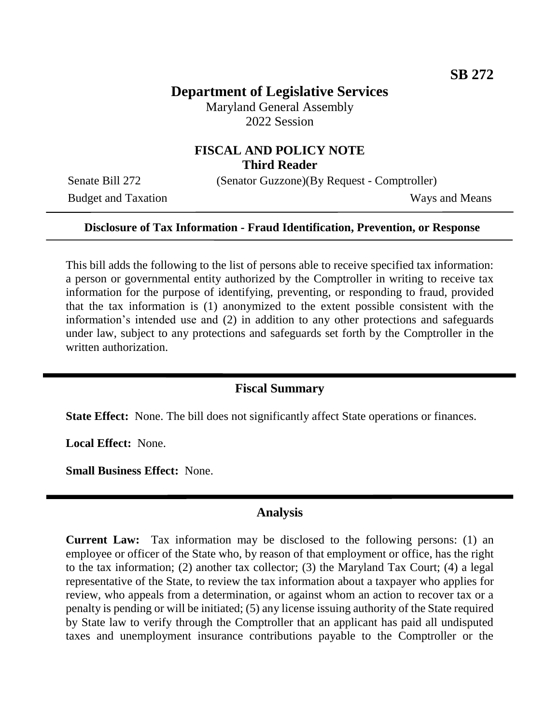# **Department of Legislative Services**

Maryland General Assembly 2022 Session

# **FISCAL AND POLICY NOTE Third Reader**

Budget and Taxation Ways and Means

Senate Bill 272 (Senator Guzzone)(By Request - Comptroller)

#### **Disclosure of Tax Information - Fraud Identification, Prevention, or Response**

This bill adds the following to the list of persons able to receive specified tax information: a person or governmental entity authorized by the Comptroller in writing to receive tax information for the purpose of identifying, preventing, or responding to fraud, provided that the tax information is (1) anonymized to the extent possible consistent with the information's intended use and (2) in addition to any other protections and safeguards under law, subject to any protections and safeguards set forth by the Comptroller in the written authorization.

### **Fiscal Summary**

**State Effect:** None. The bill does not significantly affect State operations or finances.

**Local Effect:** None.

**Small Business Effect:** None.

#### **Analysis**

**Current Law:** Tax information may be disclosed to the following persons: (1) an employee or officer of the State who, by reason of that employment or office, has the right to the tax information; (2) another tax collector; (3) the Maryland Tax Court; (4) a legal representative of the State, to review the tax information about a taxpayer who applies for review, who appeals from a determination, or against whom an action to recover tax or a penalty is pending or will be initiated; (5) any license issuing authority of the State required by State law to verify through the Comptroller that an applicant has paid all undisputed taxes and unemployment insurance contributions payable to the Comptroller or the